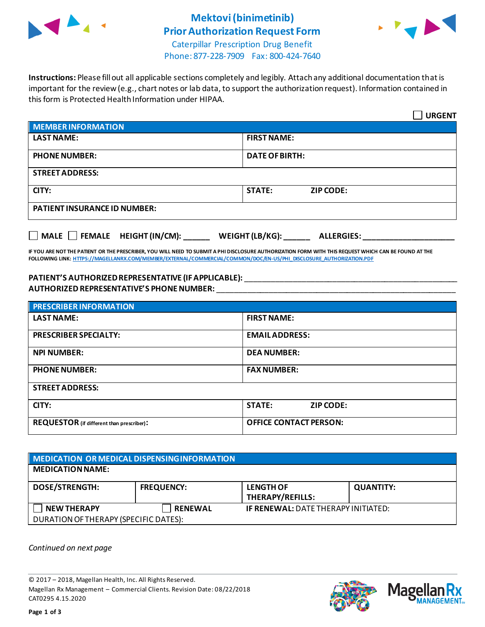

# **Mektovi (binimetinib) Prior Authorization Request Form**



Caterpillar Prescription Drug Benefit Phone: 877-228-7909 Fax: 800-424-7640

**Instructions:** Please fill out all applicable sections completely and legibly. Attach any additional documentation that is important for the review (e.g., chart notes or lab data, to support the authorization request). Information contained in this form is Protected Health Information under HIPAA.

|                                     | <b>URGENT</b>                        |
|-------------------------------------|--------------------------------------|
| <b>MEMBER INFORMATION</b>           |                                      |
| <b>LAST NAME:</b>                   | <b>FIRST NAME:</b>                   |
| <b>PHONE NUMBER:</b>                | <b>DATE OF BIRTH:</b>                |
| <b>STREET ADDRESS:</b>              |                                      |
| CITY:                               | <b>STATE:</b><br><b>ZIP CODE:</b>    |
| <b>PATIENT INSURANCE ID NUMBER:</b> |                                      |
| MALE $\Box$ FEMALE HEIGHT (IN/CM):  | WEIGHT (LB/KG):<br><b>ALLERGIES:</b> |

**IF YOU ARE NOT THE PATIENT OR THE PRESCRIBER, YOU WILL NEED TO SUBMIT A PHI DISCLOSURE AUTHORIZATION FORM WITH THIS REQUEST WHICH CAN BE FOUND AT THE FOLLOWING LINK[: HTTPS://MAGELLANRX.COM/MEMBER/EXTERNAL/COMMERCIAL/COMMON/DOC/EN-US/PHI\\_DISCLOSURE\\_AUTHORIZATION.PDF](https://magellanrx.com/member/external/commercial/common/doc/en-us/PHI_Disclosure_Authorization.pdf)**

### **PATIENT'S AUTHORIZEDREPRESENTATIVE (IF APPLICABLE):** \_\_\_\_\_\_\_\_\_\_\_\_\_\_\_\_\_\_\_\_\_\_\_\_\_\_\_\_\_\_\_\_\_\_\_\_\_\_\_\_\_\_\_\_\_\_\_\_\_ **AUTHORIZED REPRESENTATIVE'S PHONE NUMBER:** \_\_\_\_\_\_\_\_\_\_\_\_\_\_\_\_\_\_\_\_\_\_\_\_\_\_\_\_\_\_\_\_\_\_\_\_\_\_\_\_\_\_\_\_\_\_\_\_\_\_\_\_\_\_\_

| <b>PRESCRIBER INFORMATION</b>             |                               |
|-------------------------------------------|-------------------------------|
| <b>LAST NAME:</b>                         | <b>FIRST NAME:</b>            |
| <b>PRESCRIBER SPECIALTY:</b>              | <b>EMAIL ADDRESS:</b>         |
| <b>NPI NUMBER:</b>                        | <b>DEA NUMBER:</b>            |
| <b>PHONE NUMBER:</b>                      | <b>FAX NUMBER:</b>            |
| <b>STREET ADDRESS:</b>                    |                               |
| CITY:                                     | <b>STATE:</b><br>ZIP CODE:    |
| REQUESTOR (if different than prescriber): | <b>OFFICE CONTACT PERSON:</b> |

| <b>MEDICATION OR MEDICAL DISPENSING INFORMATION</b> |                   |                                            |                  |
|-----------------------------------------------------|-------------------|--------------------------------------------|------------------|
| <b>MEDICATION NAME:</b>                             |                   |                                            |                  |
| <b>DOSE/STRENGTH:</b>                               | <b>FREQUENCY:</b> | <b>LENGTH OF</b><br>THERAPY/REFILLS:       | <b>QUANTITY:</b> |
| <b>NEW THERAPY</b>                                  | <b>RENEWAL</b>    | <b>IF RENEWAL: DATE THERAPY INITIATED:</b> |                  |
| DURATION OF THERAPY (SPECIFIC DATES):               |                   |                                            |                  |

*Continued on next page*

© 2017 – 2018, Magellan Health, Inc. All Rights Reserved. Magellan Rx Management – Commercial Clients. Revision Date: 08/22/2018 CAT0295 4.15.2020



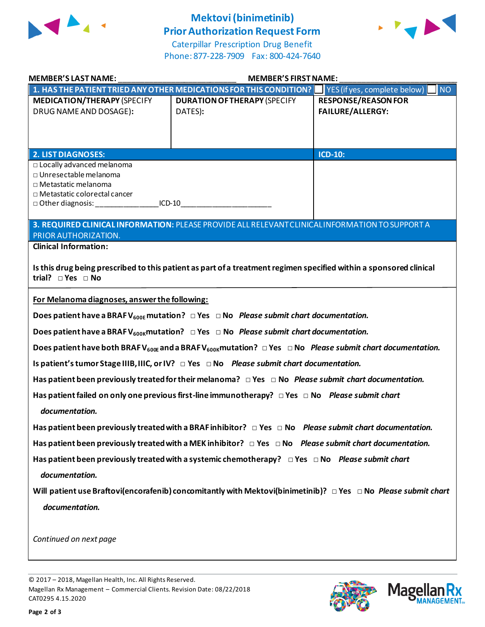

## **Mektovi(binimetinib) Prior Authorization Request Form**



Caterpillar Prescription Drug Benefit Phone: 877-228-7909 Fax: 800-424-7640

| <b>MEMBER'S LAST NAME:</b>                                                                                                       | <b>MEMBER'S FIRST NAME:</b>                                                                                                                  |                                                       |
|----------------------------------------------------------------------------------------------------------------------------------|----------------------------------------------------------------------------------------------------------------------------------------------|-------------------------------------------------------|
|                                                                                                                                  | 1. HAS THE PATIENT TRIED ANY OTHER MEDICATIONS FOR THIS CONDITION?                                                                           | <b>NO</b><br>YES (if yes, complete below)             |
| <b>MEDICATION/THERAPY (SPECIFY</b><br>DRUG NAME AND DOSAGE):                                                                     | <b>DURATION OF THERAPY (SPECIFY</b><br>DATES):                                                                                               | <b>RESPONSE/REASON FOR</b><br><b>FAILURE/ALLERGY:</b> |
| <b>2. LIST DIAGNOSES:</b>                                                                                                        |                                                                                                                                              | <b>ICD-10:</b>                                        |
| $\Box$ Locally advanced melanoma<br>$\Box$ Unresectable melanoma<br>□ Metastatic melanoma<br>$\Box$ Metastatic colorectal cancer | $ICD-10$                                                                                                                                     |                                                       |
|                                                                                                                                  | 3. REQUIRED CLINICAL INFORMATION: PLEASE PROVIDE ALL RELEVANT CLINICAL INFORMATION TO SUPPORT A                                              |                                                       |
| PRIOR AUTHORIZATION.<br><b>Clinical Information:</b>                                                                             |                                                                                                                                              |                                                       |
| trial? $\Box$ Yes $\Box$ No                                                                                                      | Is this drug being prescribed to this patient as part of a treatment regimen specified within a sponsored clinical                           |                                                       |
| For Melanoma diagnoses, answer the following:                                                                                    |                                                                                                                                              |                                                       |
|                                                                                                                                  | Does patient have a BRAF $V_{600E}$ mutation? $\Box$ Yes $\Box$ No Please submit chart documentation.                                        |                                                       |
|                                                                                                                                  | Does patient have a BRAF V <sub>600K</sub> mutation? $\Box$ Yes $\Box$ No <i>Please submit chart documentation</i> .                         |                                                       |
|                                                                                                                                  | Does patient have both BRAF V <sub>600E</sub> and a BRAF V <sub>600K</sub> mutation? $\Box$ Yes $\Box$ No Please submit chart documentation. |                                                       |
|                                                                                                                                  |                                                                                                                                              |                                                       |
|                                                                                                                                  | Has patient been previously treated for their melanoma? DYes DNo Please submit chart documentation.                                          |                                                       |
| documentation.                                                                                                                   | Has patient failed on only one previous first-line immunotherapy? $\Box$ Yes $\Box$ No Please submit chart                                   |                                                       |
|                                                                                                                                  | Has patient been previously treated with a BRAF inhibitor? $\Box$ Yes $\Box$ No Please submit chart documentation.                           |                                                       |
|                                                                                                                                  | Has patient been previously treated with a MEK inhibitor? $\Box$ Yes $\Box$ No Please submit chart documentation.                            |                                                       |
|                                                                                                                                  | Has patient been previously treated with a systemic chemotherapy? $\Box$ Yes $\Box$ No Please submit chart                                   |                                                       |
| documentation.                                                                                                                   |                                                                                                                                              |                                                       |
|                                                                                                                                  | Will patient use Braftovi(encorafenib) concomitantly with Mektovi(binimetinib)? □ Yes □ No Please submit chart                               |                                                       |
| documentation.                                                                                                                   |                                                                                                                                              |                                                       |
| Continued on next page                                                                                                           |                                                                                                                                              |                                                       |

© 2017 – 2018, Magellan Health, Inc. All Rights Reserved. Magellan Rx Management – Commercial Clients. Revision Date: 08/22/2018 CAT0295 4.15.2020